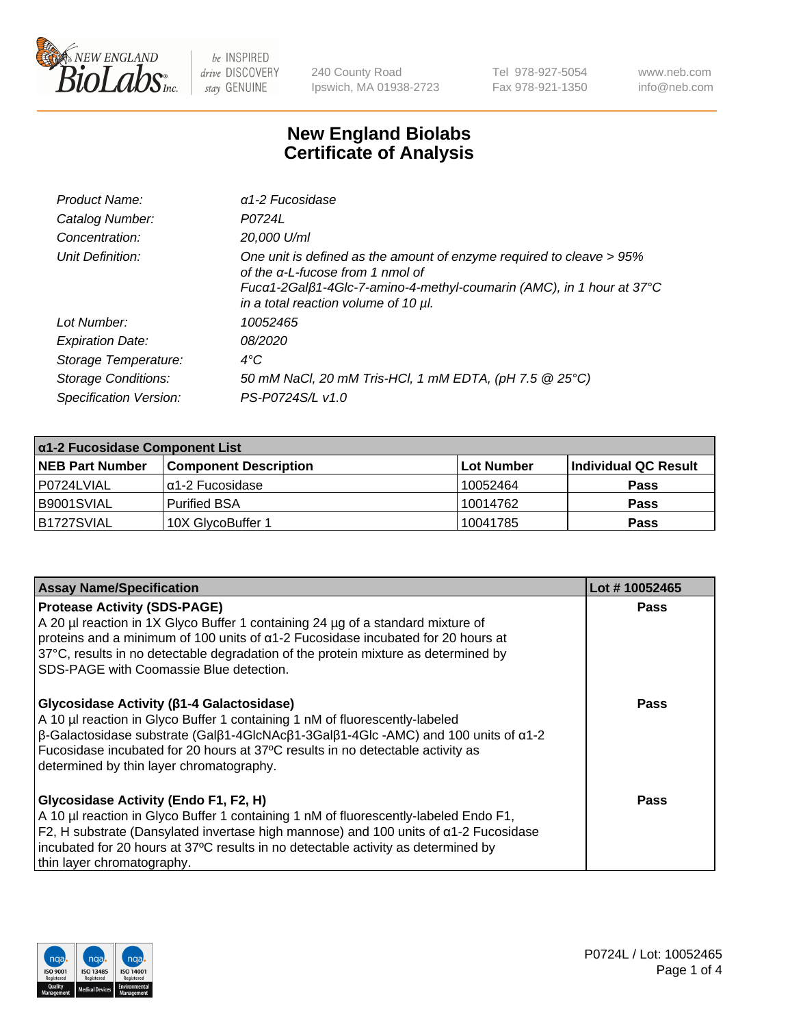

240 County Road Ipswich, MA 01938-2723 Tel 978-927-5054 Fax 978-921-1350 www.neb.com info@neb.com

## **New England Biolabs Certificate of Analysis**

| Product Name:              | $\alpha$ 1-2 Fucosidase                                                                                                                                                                                                  |
|----------------------------|--------------------------------------------------------------------------------------------------------------------------------------------------------------------------------------------------------------------------|
| Catalog Number:            | P0724L                                                                                                                                                                                                                   |
| Concentration:             | 20,000 U/ml                                                                                                                                                                                                              |
| Unit Definition:           | One unit is defined as the amount of enzyme required to cleave > 95%<br>of the a-L-fucose from 1 nmol of<br>Fucα1-2Galβ1-4Glc-7-amino-4-methyl-coumarin (AMC), in 1 hour at 37°C<br>in a total reaction volume of 10 µl. |
| Lot Number:                | 10052465                                                                                                                                                                                                                 |
| <b>Expiration Date:</b>    | <i>08/2020</i>                                                                                                                                                                                                           |
| Storage Temperature:       | $4^{\circ}$ C                                                                                                                                                                                                            |
| <b>Storage Conditions:</b> | 50 mM NaCl, 20 mM Tris-HCl, 1 mM EDTA, (pH 7.5 @ 25°C)                                                                                                                                                                   |
| Specification Version:     | PS-P0724S/L v1.0                                                                                                                                                                                                         |

| $\alpha$ 1-2 Fucosidase Component List |                              |             |                      |  |
|----------------------------------------|------------------------------|-------------|----------------------|--|
| <b>NEB Part Number</b>                 | <b>Component Description</b> | ⊺Lot Number | Individual QC Result |  |
| P0724LVIAL                             | lα1-2 Fucosidase             | 10052464    | <b>Pass</b>          |  |
| B9001SVIAL                             | <b>Purified BSA</b>          | 10014762    | <b>Pass</b>          |  |
| B1727SVIAL                             | 10X GlycoBuffer 1            | 10041785    | <b>Pass</b>          |  |

| <b>Assay Name/Specification</b>                                                                                                                                                                                                                                                                                                                                                     | Lot #10052465 |
|-------------------------------------------------------------------------------------------------------------------------------------------------------------------------------------------------------------------------------------------------------------------------------------------------------------------------------------------------------------------------------------|---------------|
| <b>Protease Activity (SDS-PAGE)</b><br>A 20 µl reaction in 1X Glyco Buffer 1 containing 24 µg of a standard mixture of<br>proteins and a minimum of 100 units of $\alpha$ 1-2 Fucosidase incubated for 20 hours at<br>37°C, results in no detectable degradation of the protein mixture as determined by<br>SDS-PAGE with Coomassie Blue detection.                                 | <b>Pass</b>   |
| Glycosidase Activity (β1-4 Galactosidase)<br>A 10 µl reaction in Glyco Buffer 1 containing 1 nM of fluorescently-labeled<br>$\beta$ -Galactosidase substrate (Gal $\beta$ 1-4GlcNAc $\beta$ 1-3Gal $\beta$ 1-4Glc -AMC) and 100 units of $\alpha$ 1-2<br>Fucosidase incubated for 20 hours at 37°C results in no detectable activity as<br>determined by thin layer chromatography. | Pass          |
| Glycosidase Activity (Endo F1, F2, H)<br>A 10 µl reaction in Glyco Buffer 1 containing 1 nM of fluorescently-labeled Endo F1,<br>F2, H substrate (Dansylated invertase high mannose) and 100 units of a1-2 Fucosidase<br>incubated for 20 hours at 37°C results in no detectable activity as determined by<br>thin layer chromatography.                                            | Pass          |

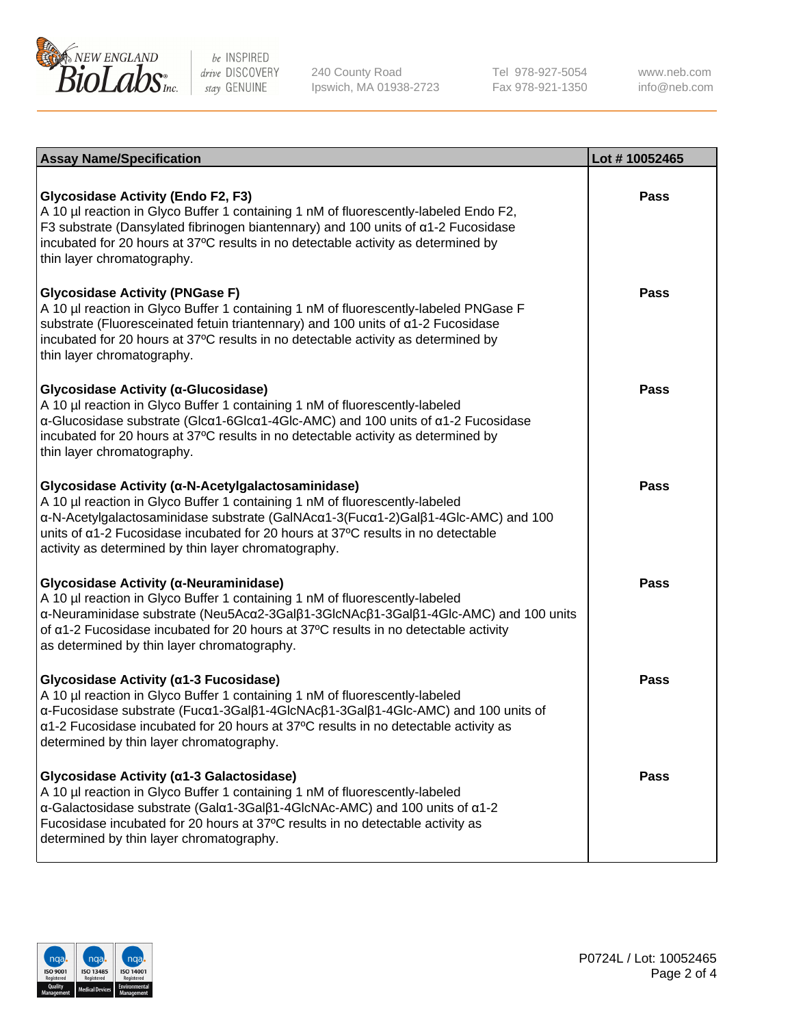

240 County Road Ipswich, MA 01938-2723 Tel 978-927-5054 Fax 978-921-1350

www.neb.com info@neb.com

| <b>Assay Name/Specification</b>                                                                                                                                                                                                                                                                                                                                    | Lot #10052465 |
|--------------------------------------------------------------------------------------------------------------------------------------------------------------------------------------------------------------------------------------------------------------------------------------------------------------------------------------------------------------------|---------------|
| <b>Glycosidase Activity (Endo F2, F3)</b><br>A 10 µl reaction in Glyco Buffer 1 containing 1 nM of fluorescently-labeled Endo F2,<br>F3 substrate (Dansylated fibrinogen biantennary) and 100 units of $\alpha$ 1-2 Fucosidase<br>incubated for 20 hours at 37°C results in no detectable activity as determined by<br>thin layer chromatography.                  | <b>Pass</b>   |
| <b>Glycosidase Activity (PNGase F)</b><br>A 10 µl reaction in Glyco Buffer 1 containing 1 nM of fluorescently-labeled PNGase F<br>substrate (Fluoresceinated fetuin triantennary) and 100 units of $\alpha$ 1-2 Fucosidase<br>incubated for 20 hours at 37°C results in no detectable activity as determined by<br>thin layer chromatography.                      | Pass          |
| Glycosidase Activity (α-Glucosidase)<br>A 10 µl reaction in Glyco Buffer 1 containing 1 nM of fluorescently-labeled<br>α-Glucosidase substrate (Glcα1-6Glcα1-4Glc-AMC) and 100 units of α1-2 Fucosidase<br>incubated for 20 hours at 37°C results in no detectable activity as determined by<br>thin layer chromatography.                                         | Pass          |
| Glycosidase Activity (α-N-Acetylgalactosaminidase)<br>A 10 µl reaction in Glyco Buffer 1 containing 1 nM of fluorescently-labeled<br>α-N-Acetylgalactosaminidase substrate (GalNAcα1-3(Fucα1-2)Galβ1-4Glc-AMC) and 100<br>units of a1-2 Fucosidase incubated for 20 hours at 37°C results in no detectable<br>activity as determined by thin layer chromatography. | <b>Pass</b>   |
| Glycosidase Activity (α-Neuraminidase)<br>A 10 µl reaction in Glyco Buffer 1 containing 1 nM of fluorescently-labeled<br>α-Neuraminidase substrate (Neu5Acα2-3Galβ1-3GlcNAcβ1-3Galβ1-4Glc-AMC) and 100 units<br>of $\alpha$ 1-2 Fucosidase incubated for 20 hours at 37°C results in no detectable activity<br>as determined by thin layer chromatography.         | <b>Pass</b>   |
| Glycosidase Activity (α1-3 Fucosidase)<br>A 10 µl reaction in Glyco Buffer 1 containing 1 nM of fluorescently-labeled<br>α-Fucosidase substrate (Fucα1-3Galβ1-4GlcNAcβ1-3Galβ1-4Glc-AMC) and 100 units of<br>a1-2 Fucosidase incubated for 20 hours at 37°C results in no detectable activity as<br>determined by thin layer chromatography.                       | Pass          |
| Glycosidase Activity (α1-3 Galactosidase)<br>A 10 µl reaction in Glyco Buffer 1 containing 1 nM of fluorescently-labeled<br>α-Galactosidase substrate (Galα1-3Galβ1-4GlcNAc-AMC) and 100 units of α1-2<br>Fucosidase incubated for 20 hours at 37°C results in no detectable activity as<br>determined by thin layer chromatography.                               | <b>Pass</b>   |

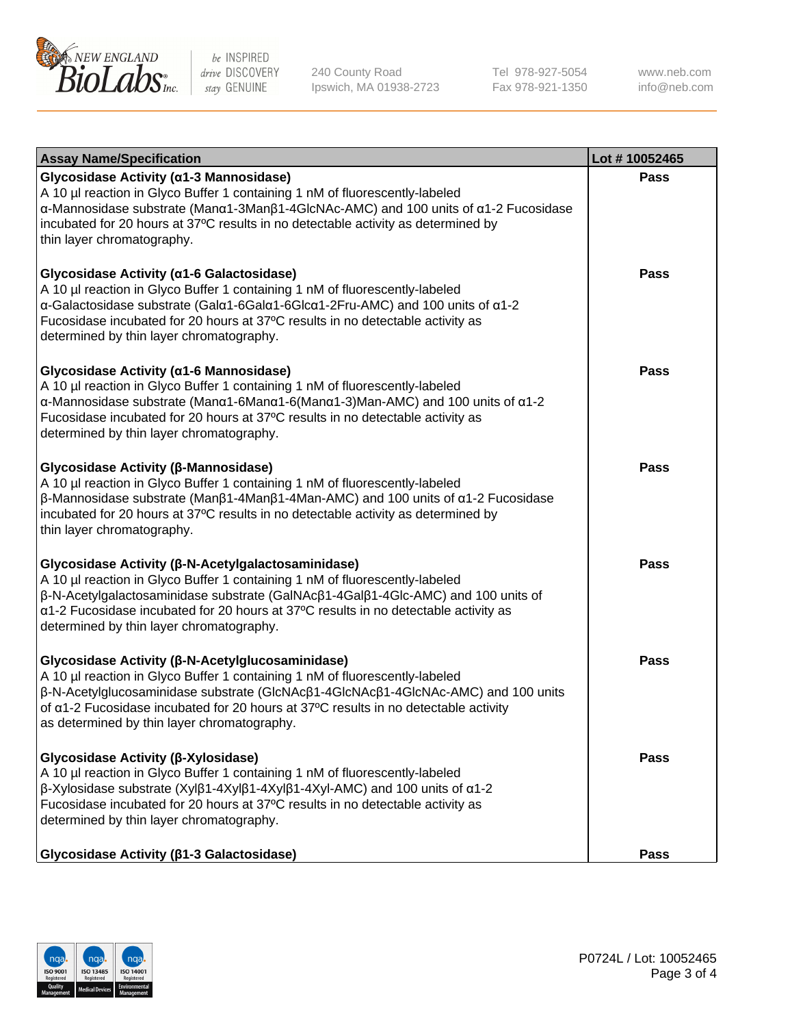

240 County Road Ipswich, MA 01938-2723 Tel 978-927-5054 Fax 978-921-1350 www.neb.com info@neb.com

| <b>Assay Name/Specification</b>                                                                                                                                                                                                                                                                                                                                                   | Lot #10052465 |
|-----------------------------------------------------------------------------------------------------------------------------------------------------------------------------------------------------------------------------------------------------------------------------------------------------------------------------------------------------------------------------------|---------------|
| Glycosidase Activity (α1-3 Mannosidase)<br>A 10 µl reaction in Glyco Buffer 1 containing 1 nM of fluorescently-labeled<br>α-Mannosidase substrate (Manα1-3Manβ1-4GlcNAc-AMC) and 100 units of α1-2 Fucosidase<br>incubated for 20 hours at 37°C results in no detectable activity as determined by<br>thin layer chromatography.                                                  | <b>Pass</b>   |
| Glycosidase Activity (α1-6 Galactosidase)<br>A 10 µl reaction in Glyco Buffer 1 containing 1 nM of fluorescently-labeled<br>α-Galactosidase substrate (Galα1-6Galα1-6Glcα1-2Fru-AMC) and 100 units of α1-2<br>Fucosidase incubated for 20 hours at 37°C results in no detectable activity as<br>determined by thin layer chromatography.                                          | <b>Pass</b>   |
| Glycosidase Activity (α1-6 Mannosidase)<br>A 10 µl reaction in Glyco Buffer 1 containing 1 nM of fluorescently-labeled<br>$\alpha$ -Mannosidase substrate (Man $\alpha$ 1-6Man $\alpha$ 1-6(Man $\alpha$ 1-3)Man-AMC) and 100 units of $\alpha$ 1-2<br>Fucosidase incubated for 20 hours at 37°C results in no detectable activity as<br>determined by thin layer chromatography. | Pass          |
| Glycosidase Activity (β-Mannosidase)<br>A 10 µl reaction in Glyco Buffer 1 containing 1 nM of fluorescently-labeled<br>$\beta$ -Mannosidase substrate (Man $\beta$ 1-4Man $\beta$ 1-4Man-AMC) and 100 units of $\alpha$ 1-2 Fucosidase<br>incubated for 20 hours at 37°C results in no detectable activity as determined by<br>thin layer chromatography.                         | <b>Pass</b>   |
| Glycosidase Activity (β-N-Acetylgalactosaminidase)<br>A 10 µl reaction in Glyco Buffer 1 containing 1 nM of fluorescently-labeled<br>β-N-Acetylgalactosaminidase substrate (GalNAcβ1-4Galβ1-4Glc-AMC) and 100 units of<br>a1-2 Fucosidase incubated for 20 hours at 37°C results in no detectable activity as<br>determined by thin layer chromatography.                         | <b>Pass</b>   |
| Glycosidase Activity (β-N-Acetylglucosaminidase)<br>A 10 µl reaction in Glyco Buffer 1 containing 1 nM of fluorescently-labeled<br>β-N-Acetylglucosaminidase substrate (GlcNAcβ1-4GlcNAcβ1-4GlcNAc-AMC) and 100 units<br>of a1-2 Fucosidase incubated for 20 hours at 37°C results in no detectable activity<br>as determined by thin layer chromatography.                       | <b>Pass</b>   |
| Glycosidase Activity (β-Xylosidase)<br>A 10 µl reaction in Glyco Buffer 1 containing 1 nM of fluorescently-labeled<br>β-Xylosidase substrate (Xylβ1-4Xylβ1-4Xylβ1-4Xyl-AMC) and 100 units of α1-2<br>Fucosidase incubated for 20 hours at 37°C results in no detectable activity as<br>determined by thin layer chromatography.                                                   | Pass          |
| Glycosidase Activity ( $\beta$ 1-3 Galactosidase)                                                                                                                                                                                                                                                                                                                                 | <b>Pass</b>   |